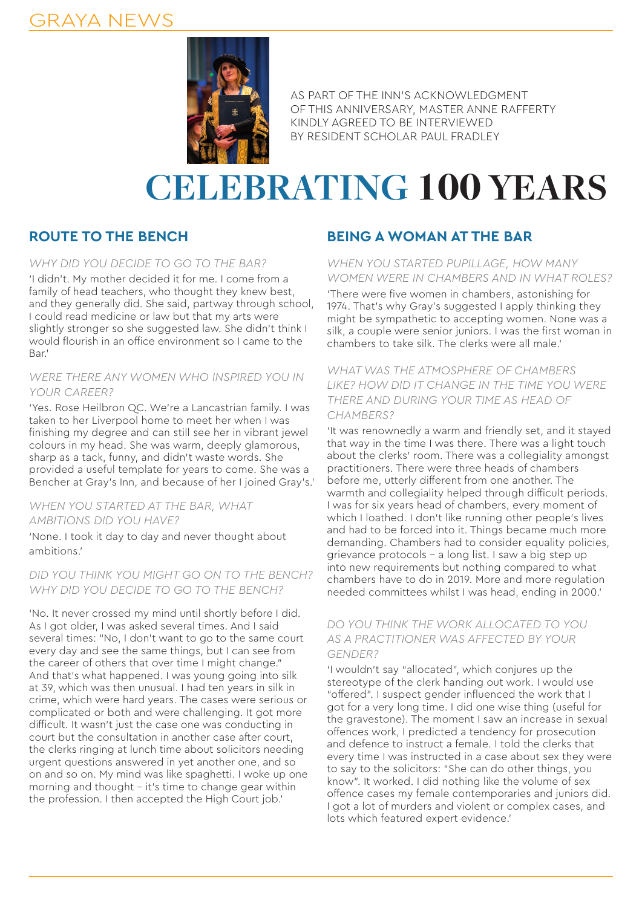## GRAYA NEWS



AS PART OF THE INN'S ACKNOWLEDGMENT OF THIS ANNIVERSARY, MASTER ANNE RAFFERTY KINDLY AGREED TO BE INTERVIEWED BY RESIDENT SCHOLAR PAUL FRADLEY

# **CELEBRATING 100 YEARS**

### **ROUTE TO THE BENCH**

#### *WHY DID YOU DECIDE TO GO TO THE BAR?*

'I didn't. My mother decided it for me. I come from a family of head teachers, who thought they knew best, and they generally did. She said, partway through school, I could read medicine or law but that my arts were slightly stronger so she suggested law. She didn't think I would flourish in an office environment so I came to the Bar.'

#### *WERE THERE ANY WOMEN WHO INSPIRED YOU IN YOUR CAREER?*

'Yes. Rose Heilbron QC. We're a Lancastrian family. I was taken to her Liverpool home to meet her when I was finishing my degree and can still see her in vibrant jewel colours in my head. She was warm, deeply glamorous, sharp as a tack, funny, and didn't waste words. She provided a useful template for years to come. She was a Bencher at Gray's Inn, and because of her I joined Gray's.'

#### *WHEN YOU STARTED AT THE BAR, WHAT AMBITIONS DID YOU HAVE?*

'None. I took it day to day and never thought about ambitions.'

#### *DID YOU THINK YOU MIGHT GO ON TO THE BENCH? WHY DID YOU DECIDE TO GO TO THE BENCH?*

'No. It never crossed my mind until shortly before I did. As I got older, I was asked several times. And I said several times: "No, I don't want to go to the same court every day and see the same things, but I can see from the career of others that over time I might change." And that's what happened. I was young going into silk at 39, which was then unusual. I had ten years in silk in crime, which were hard years. The cases were serious or complicated or both and were challenging. It got more difficult. It wasn't just the case one was conducting in court but the consultation in another case after court, the clerks ringing at lunch time about solicitors needing urgent questions answered in yet another one, and so on and so on. My mind was like spaghetti. I woke up one morning and thought – it's time to change gear within the profession. I then accepted the High Court job.'

### **BEING A WOMAN AT THE BAR**

#### *WHEN YOU STARTED PUPILLAGE, HOW MANY WOMEN WERE IN CHAMBERS AND IN WHAT ROLES?*

'There were five women in chambers, astonishing for 1974. That's why Gray's suggested I apply thinking they might be sympathetic to accepting women. None was a silk, a couple were senior juniors. I was the first woman in chambers to take silk. The clerks were all male.'

#### *WHAT WAS THE ATMOSPHERE OF CHAMBERS LIKE? HOW DID IT CHANGE IN THE TIME YOU WERE THERE AND DURING YOUR TIME AS HEAD OF CHAMBERS?*

'It was renownedly a warm and friendly set, and it stayed that way in the time I was there. There was a light touch about the clerks' room. There was a collegiality amongst practitioners. There were three heads of chambers before me, utterly different from one another. The warmth and collegiality helped through difficult periods. I was for six years head of chambers, every moment of which I loathed. I don't like running other people's lives and had to be forced into it. Things became much more demanding. Chambers had to consider equality policies, grievance protocols – a long list. I saw a big step up into new requirements but nothing compared to what chambers have to do in 2019. More and more regulation needed committees whilst I was head, ending in 2000.'

#### *DO YOU THINK THE WORK ALLOCATED TO YOU AS A PRACTITIONER WAS AFFECTED BY YOUR GENDER?*

'I wouldn't say "allocated", which conjures up the stereotype of the clerk handing out work. I would use "offered". I suspect gender influenced the work that I got for a very long time. I did one wise thing (useful for the gravestone). The moment I saw an increase in sexual offences work, I predicted a tendency for prosecution and defence to instruct a female. I told the clerks that every time I was instructed in a case about sex they were to say to the solicitors: "She can do other things, you know". It worked. I did nothing like the volume of sex offence cases my female contemporaries and juniors did. I got a lot of murders and violent or complex cases, and lots which featured expert evidence.'